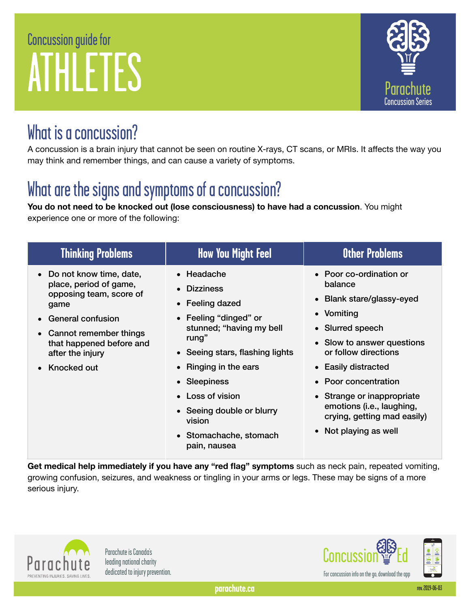# Concussion guide for ATHLETES



#### What is a concussion?

A concussion is a brain injury that cannot be seen on routine X-rays, CT scans, or MRIs. It affects the way you may think and remember things, and can cause a variety of symptoms.

# What are the signs and symptoms of a concussion?

**You do not need to be knocked out (lose consciousness) to have had a concussion**. You might experience one or more of the following:

| <b>Thinking Problems</b>                                                                                                                                                                                            | <b>How You Might Feel</b>                                                                                                                                                                                                                                                                        | <b>Other Problems</b>                                                                                                                                                                                                                                                                                                     |
|---------------------------------------------------------------------------------------------------------------------------------------------------------------------------------------------------------------------|--------------------------------------------------------------------------------------------------------------------------------------------------------------------------------------------------------------------------------------------------------------------------------------------------|---------------------------------------------------------------------------------------------------------------------------------------------------------------------------------------------------------------------------------------------------------------------------------------------------------------------------|
| • Do not know time, date,<br>place, period of game,<br>opposing team, score of<br>game<br>General confusion<br>$\bullet$<br>• Cannot remember things<br>that happened before and<br>after the injury<br>Knocked out | • Headache<br>• Dizziness<br>• Feeling dazed<br>• Feeling "dinged" or<br>stunned; "having my bell<br>rung"<br>• Seeing stars, flashing lights<br><b>Ringing in the ears</b><br>• Sleepiness<br>• Loss of vision<br>• Seeing double or blurry<br>vision<br>• Stomachache, stomach<br>pain, nausea | • Poor co-ordination or<br>balance<br>• Blank stare/glassy-eyed<br>• Vomiting<br>• Slurred speech<br>• Slow to answer questions<br>or follow directions<br>• Easily distracted<br>• Poor concentration<br>• Strange or inappropriate<br>emotions (i.e., laughing,<br>crying, getting mad easily)<br>• Not playing as well |

**Get medical help immediately if you have any "red flag" symptoms** such as neck pain, repeated vomiting, growing confusion, seizures, and weakness or tingling in your arms or legs. These may be signs of a more serious injury.



Parachute is Canada's

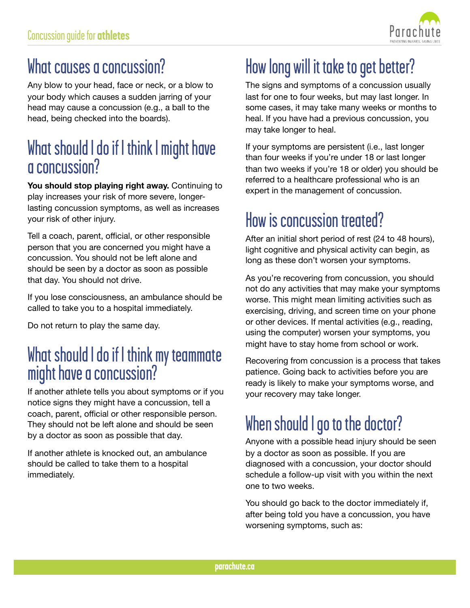

#### What causes a concussion?

Any blow to your head, face or neck, or a blow to your body which causes a sudden jarring of your head may cause a concussion (e.g., a ball to the head, being checked into the boards).

#### What should I do if I think I might have a concussion?

**You should stop playing right away.** Continuing to play increases your risk of more severe, longerlasting concussion symptoms, as well as increases your risk of other injury.

Tell a coach, parent, official, or other responsible person that you are concerned you might have a concussion. You should not be left alone and should be seen by a doctor as soon as possible that day. You should not drive.

If you lose consciousness, an ambulance should be called to take you to a hospital immediately.

Do not return to play the same day.

#### What should I do if I think my teammate might have a concussion?

If another athlete tells you about symptoms or if you notice signs they might have a concussion, tell a coach, parent, official or other responsible person. They should not be left alone and should be seen by a doctor as soon as possible that day.

If another athlete is knocked out, an ambulance should be called to take them to a hospital immediately.

# How long will it take to get better?

The signs and symptoms of a concussion usually last for one to four weeks, but may last longer. In some cases, it may take many weeks or months to heal. If you have had a previous concussion, you may take longer to heal.

If your symptoms are persistent (i.e., last longer than four weeks if you're under 18 or last longer than two weeks if you're 18 or older) you should be referred to a healthcare professional who is an expert in the management of concussion.

### How is concussion treated?

After an initial short period of rest (24 to 48 hours), light cognitive and physical activity can begin, as long as these don't worsen your symptoms.

As you're recovering from concussion, you should not do any activities that may make your symptoms worse. This might mean limiting activities such as exercising, driving, and screen time on your phone or other devices. If mental activities (e.g., reading, using the computer) worsen your symptoms, you might have to stay home from school or work.

Recovering from concussion is a process that takes patience. Going back to activities before you are ready is likely to make your symptoms worse, and your recovery may take longer.

# When should I go to the doctor?

Anyone with a possible head injury should be seen by a doctor as soon as possible. If you are diagnosed with a concussion, your doctor should schedule a follow-up visit with you within the next one to two weeks.

You should go back to the doctor immediately if, after being told you have a concussion, you have worsening symptoms, such as: